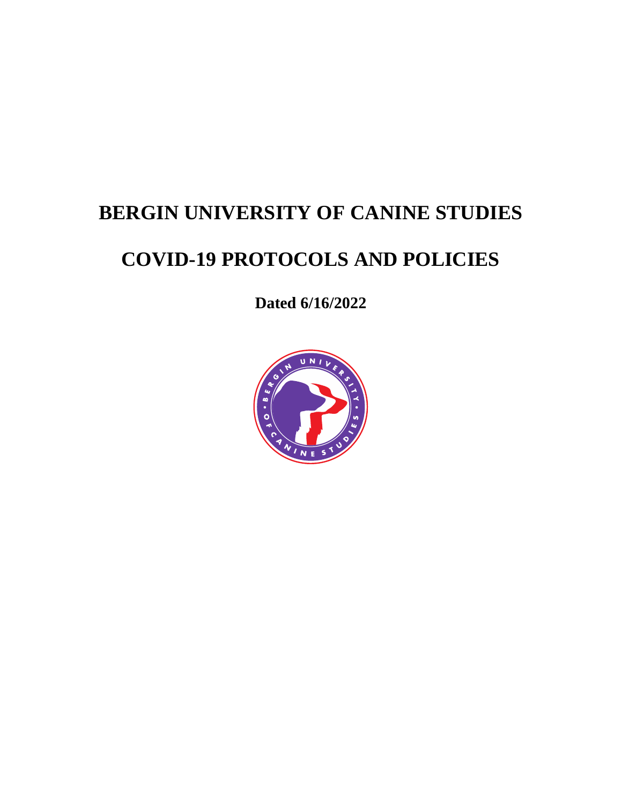# **BERGIN UNIVERSITY OF CANINE STUDIES**

# **COVID-19 PROTOCOLS AND POLICIES**

**Dated 6/16/2022**

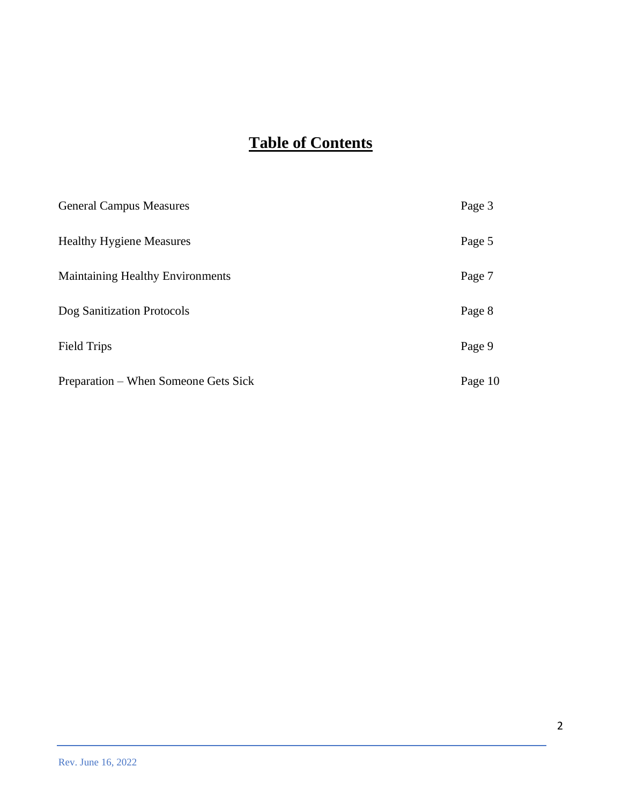# **Table of Contents**

| <b>General Campus Measures</b>          | Page 3  |
|-----------------------------------------|---------|
| <b>Healthy Hygiene Measures</b>         | Page 5  |
| <b>Maintaining Healthy Environments</b> | Page 7  |
| Dog Sanitization Protocols              | Page 8  |
| <b>Field Trips</b>                      | Page 9  |
| Preparation – When Someone Gets Sick    | Page 10 |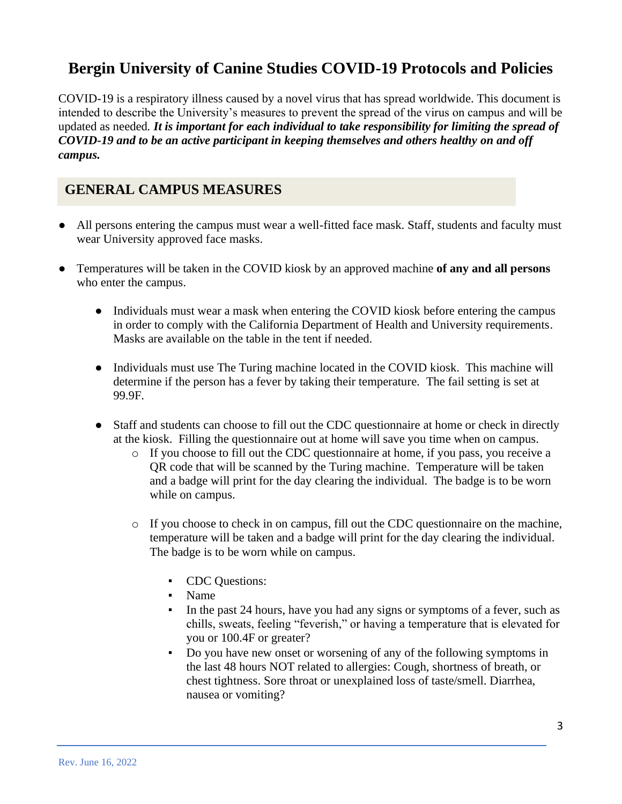# **Bergin University of Canine Studies COVID-19 Protocols and Policies**

COVID-19 is a respiratory illness caused by a novel virus that has spread worldwide. This document is intended to describe the University's measures to prevent the spread of the virus on campus and will be updated as needed*. It is important for each individual to take responsibility for limiting the spread of COVID-19 and to be an active participant in keeping themselves and others healthy on and off campus.*

# **GENERAL CAMPUS MEASURES**

- All persons entering the campus must wear a well-fitted face mask. Staff, students and faculty must wear University approved face masks.
- Temperatures will be taken in the COVID kiosk by an approved machine **of any and all persons** who enter the campus.
	- Individuals must wear a mask when entering the COVID kiosk before entering the campus in order to comply with the California Department of Health and University requirements. Masks are available on the table in the tent if needed.
	- Individuals must use The Turing machine located in the COVID kiosk. This machine will determine if the person has a fever by taking their temperature. The fail setting is set at 99.9F.
	- Staff and students can choose to fill out the CDC questionnaire at home or check in directly at the kiosk. Filling the questionnaire out at home will save you time when on campus.
		- o If you choose to fill out the CDC questionnaire at home, if you pass, you receive a QR code that will be scanned by the Turing machine. Temperature will be taken and a badge will print for the day clearing the individual. The badge is to be worn while on campus.
		- o If you choose to check in on campus, fill out the CDC questionnaire on the machine, temperature will be taken and a badge will print for the day clearing the individual. The badge is to be worn while on campus.
			- CDC Questions:
			- Name
			- In the past 24 hours, have you had any signs or symptoms of a fever, such as chills, sweats, feeling "feverish," or having a temperature that is elevated for you or 100.4F or greater?
			- Do you have new onset or worsening of any of the following symptoms in the last 48 hours NOT related to allergies: Cough, shortness of breath, or chest tightness. Sore throat or unexplained loss of taste/smell. Diarrhea, nausea or vomiting?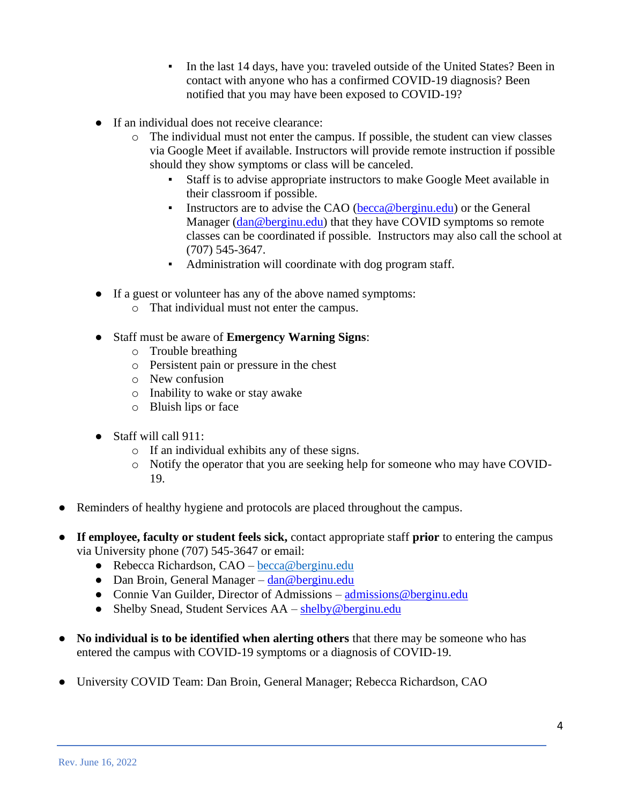- In the last 14 days, have you: traveled outside of the United States? Been in contact with anyone who has a confirmed COVID-19 diagnosis? Been notified that you may have been exposed to COVID-19?
- If an individual does not receive clearance:
	- o The individual must not enter the campus. If possible, the student can view classes via Google Meet if available. Instructors will provide remote instruction if possible should they show symptoms or class will be canceled.
		- Staff is to advise appropriate instructors to make Google Meet available in their classroom if possible.
		- **EXECUTE:** Instructors are to advise the CAO [\(becca@berginu.edu\)](mailto:becca@berginu.edu) or the General Manager [\(dan@berginu.edu\)](mailto:dan@berginu.edu) that they have COVID symptoms so remote classes can be coordinated if possible. Instructors may also call the school at (707) 545-3647.
		- Administration will coordinate with dog program staff.
- If a guest or volunteer has any of the above named symptoms:
	- o That individual must not enter the campus.
- Staff must be aware of **Emergency Warning Signs**:
	- o Trouble breathing
	- o Persistent pain or pressure in the chest
	- o New confusion
	- o Inability to wake or stay awake
	- o Bluish lips or face
- Staff will call 911:
	- o If an individual exhibits any of these signs.
	- o Notify the operator that you are seeking help for someone who may have COVID-19.
- Reminders of healthy hygiene and protocols are placed throughout the campus.
- **If employee, faculty or student feels sick,** contact appropriate staff **prior** to entering the campus via University phone (707) 545-3647 or email:
	- Rebecca Richardson, CAO [becca@berginu.edu](mailto:becca@bergnu.edu)
	- Dan Broin, General Manager [dan@berginu.edu](mailto:dan@berginu.edu)
	- Connie Van Guilder, Director of Admissions admissions @berginu.edu
	- Shelby Snead, Student Services AA [shelby@berginu.edu](mailto:shelby@berginu.edu)
- No individual is to be identified when alerting others that there may be someone who has entered the campus with COVID-19 symptoms or a diagnosis of COVID-19.
- University COVID Team: Dan Broin, General Manager; Rebecca Richardson, CAO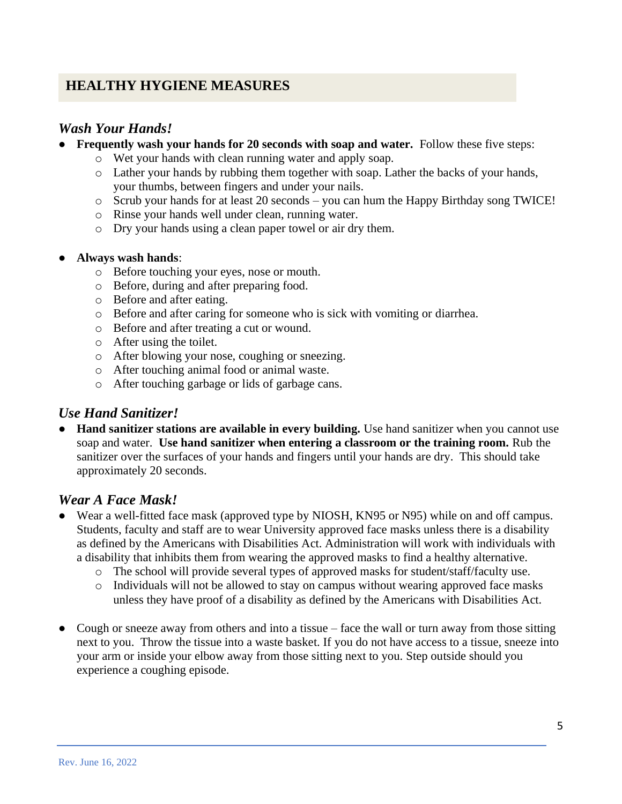# **HEALTHY HYGIENE MEASURES**

### *Wash Your Hands!*

- **Frequently wash your hands for 20 seconds with soap and water.** Follow these five steps:
	- o Wet your hands with clean running water and apply soap.
	- o Lather your hands by rubbing them together with soap. Lather the backs of your hands, your thumbs, between fingers and under your nails.
	- o Scrub your hands for at least 20 seconds you can hum the Happy Birthday song TWICE!
	- o Rinse your hands well under clean, running water.
	- o Dry your hands using a clean paper towel or air dry them.

#### ● **Always wash hands**:

- o Before touching your eyes, nose or mouth.
- o Before, during and after preparing food.
- o Before and after eating.
- o Before and after caring for someone who is sick with vomiting or diarrhea.
- o Before and after treating a cut or wound.
- o After using the toilet.
- o After blowing your nose, coughing or sneezing.
- o After touching animal food or animal waste.
- o After touching garbage or lids of garbage cans.

### *Use Hand Sanitizer!*

● **Hand sanitizer stations are available in every building.** Use hand sanitizer when you cannot use soap and water. **Use hand sanitizer when entering a classroom or the training room.** Rub the sanitizer over the surfaces of your hands and fingers until your hands are dry. This should take approximately 20 seconds.

### *Wear A Face Mask!*

- Wear a well-fitted face mask (approved type by NIOSH, KN95 or N95) while on and off campus. Students, faculty and staff are to wear University approved face masks unless there is a disability as defined by the Americans with Disabilities Act. Administration will work with individuals with a disability that inhibits them from wearing the approved masks to find a healthy alternative.
	- o The school will provide several types of approved masks for student/staff/faculty use.
	- o Individuals will not be allowed to stay on campus without wearing approved face masks unless they have proof of a disability as defined by the Americans with Disabilities Act.
- Cough or sneeze away from others and into a tissue face the wall or turn away from those sitting next to you. Throw the tissue into a waste basket. If you do not have access to a tissue, sneeze into your arm or inside your elbow away from those sitting next to you. Step outside should you experience a coughing episode.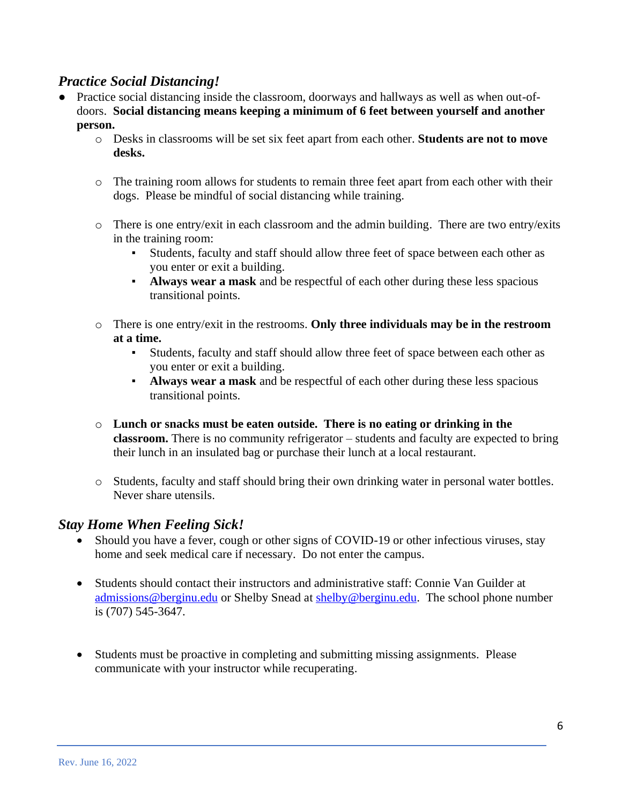### *Practice Social Distancing!*

- Practice social distancing inside the classroom, doorways and hallways as well as when out-ofdoors. **Social distancing means keeping a minimum of 6 feet between yourself and another person.**
	- o Desks in classrooms will be set six feet apart from each other. **Students are not to move desks.**
	- o The training room allows for students to remain three feet apart from each other with their dogs. Please be mindful of social distancing while training.
	- $\circ$  There is one entry/exit in each classroom and the admin building. There are two entry/exits in the training room:
		- Students, faculty and staff should allow three feet of space between each other as you enter or exit a building.
		- **Always wear a mask** and be respectful of each other during these less spacious transitional points.
	- o There is one entry/exit in the restrooms. **Only three individuals may be in the restroom at a time.**
		- Students, faculty and staff should allow three feet of space between each other as you enter or exit a building.
		- **Always wear a mask** and be respectful of each other during these less spacious transitional points.
	- o **Lunch or snacks must be eaten outside. There is no eating or drinking in the classroom.** There is no community refrigerator – students and faculty are expected to bring their lunch in an insulated bag or purchase their lunch at a local restaurant.
	- o Students, faculty and staff should bring their own drinking water in personal water bottles. Never share utensils.

### *Stay Home When Feeling Sick!*

- Should you have a fever, cough or other signs of COVID-19 or other infectious viruses, stay home and seek medical care if necessary. Do not enter the campus.
- Students should contact their instructors and administrative staff: Connie Van Guilder at [admissions@berginu.edu](mailto:admissions@berginu.edu) or Shelby Snead at [shelby@berginu.edu.](mailto:shelby@berginu.edu) The school phone number is (707) 545-3647.
- Students must be proactive in completing and submitting missing assignments. Please communicate with your instructor while recuperating.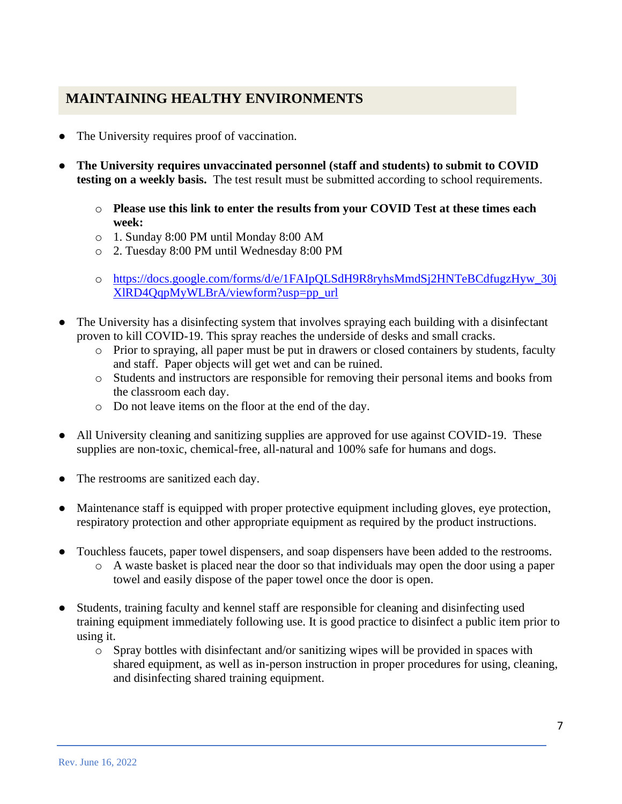# **MAINTAINING HEALTHY ENVIRONMENTS**

- The University requires proof of vaccination.
- **The University requires unvaccinated personnel (staff and students) to submit to COVID testing on a weekly basis.** The test result must be submitted according to school requirements.
	- o **Please use this link to enter the results from your COVID Test at these times each week:**
	- o 1. Sunday 8:00 PM until Monday 8:00 AM
	- o 2. Tuesday 8:00 PM until Wednesday 8:00 PM
	- o [https://docs.google.com/forms/d/e/1FAIpQLSdH9R8ryhsMmdSj2HNTeBCdfugzHyw\\_30j](https://docs.google.com/forms/d/e/1FAIpQLSdH9R8ryhsMmdSj2HNTeBCdfugzHyw_30jXlRD4QqpMyWLBrA/viewform?usp=pp_url) [XlRD4QqpMyWLBrA/viewform?usp=pp\\_url](https://docs.google.com/forms/d/e/1FAIpQLSdH9R8ryhsMmdSj2HNTeBCdfugzHyw_30jXlRD4QqpMyWLBrA/viewform?usp=pp_url)
- The University has a disinfecting system that involves spraying each building with a disinfectant proven to kill COVID-19. This spray reaches the underside of desks and small cracks.
	- o Prior to spraying, all paper must be put in drawers or closed containers by students, faculty and staff. Paper objects will get wet and can be ruined.
	- o Students and instructors are responsible for removing their personal items and books from the classroom each day.
	- o Do not leave items on the floor at the end of the day.
- All University cleaning and sanitizing supplies are approved for use against COVID-19. These supplies are non-toxic, chemical-free, all-natural and 100% safe for humans and dogs.
- The restrooms are sanitized each day.
- Maintenance staff is equipped with proper protective equipment including gloves, eye protection, respiratory protection and other appropriate equipment as required by the product instructions.
- Touchless faucets, paper towel dispensers, and soap dispensers have been added to the restrooms.
	- o A waste basket is placed near the door so that individuals may open the door using a paper towel and easily dispose of the paper towel once the door is open.
- Students, training faculty and kennel staff are responsible for cleaning and disinfecting used training equipment immediately following use. It is good practice to disinfect a public item prior to using it.
	- o Spray bottles with disinfectant and/or sanitizing wipes will be provided in spaces with shared equipment, as well as in-person instruction in proper procedures for using, cleaning, and disinfecting shared training equipment.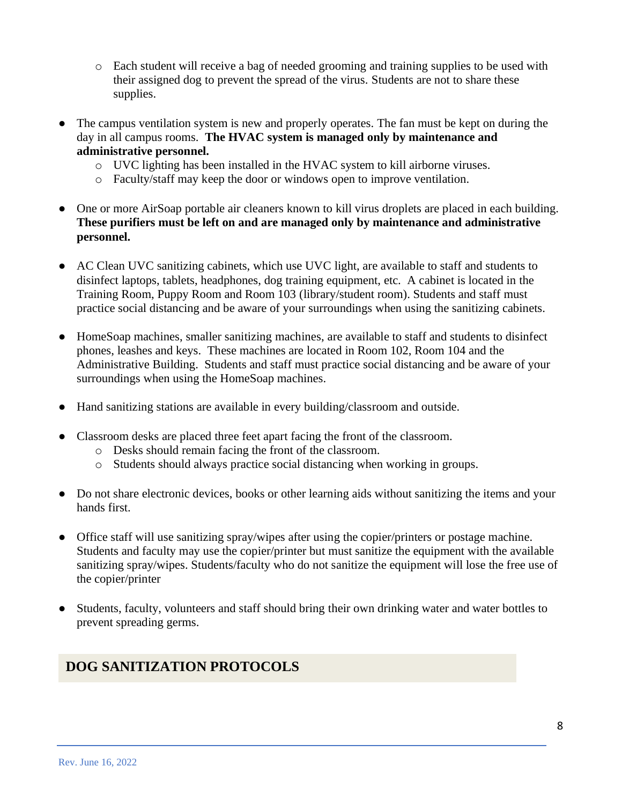- o Each student will receive a bag of needed grooming and training supplies to be used with their assigned dog to prevent the spread of the virus. Students are not to share these supplies.
- The campus ventilation system is new and properly operates. The fan must be kept on during the day in all campus rooms. **The HVAC system is managed only by maintenance and administrative personnel.**
	- o UVC lighting has been installed in the HVAC system to kill airborne viruses.
	- o Faculty/staff may keep the door or windows open to improve ventilation.
- One or more AirSoap portable air cleaners known to kill virus droplets are placed in each building. **These purifiers must be left on and are managed only by maintenance and administrative personnel.**
- AC Clean UVC sanitizing cabinets, which use UVC light, are available to staff and students to disinfect laptops, tablets, headphones, dog training equipment, etc. A cabinet is located in the Training Room, Puppy Room and Room 103 (library/student room). Students and staff must practice social distancing and be aware of your surroundings when using the sanitizing cabinets.
- HomeSoap machines, smaller sanitizing machines, are available to staff and students to disinfect phones, leashes and keys. These machines are located in Room 102, Room 104 and the Administrative Building. Students and staff must practice social distancing and be aware of your surroundings when using the HomeSoap machines.
- Hand sanitizing stations are available in every building/classroom and outside.
- Classroom desks are placed three feet apart facing the front of the classroom.
	- o Desks should remain facing the front of the classroom.
	- o Students should always practice social distancing when working in groups.
- Do not share electronic devices, books or other learning aids without sanitizing the items and your hands first.
- Office staff will use sanitizing spray/wipes after using the copier/printers or postage machine. Students and faculty may use the copier/printer but must sanitize the equipment with the available sanitizing spray/wipes. Students/faculty who do not sanitize the equipment will lose the free use of the copier/printer
- Students, faculty, volunteers and staff should bring their own drinking water and water bottles to prevent spreading germs.

# **DOG SANITIZATION PROTOCOLS**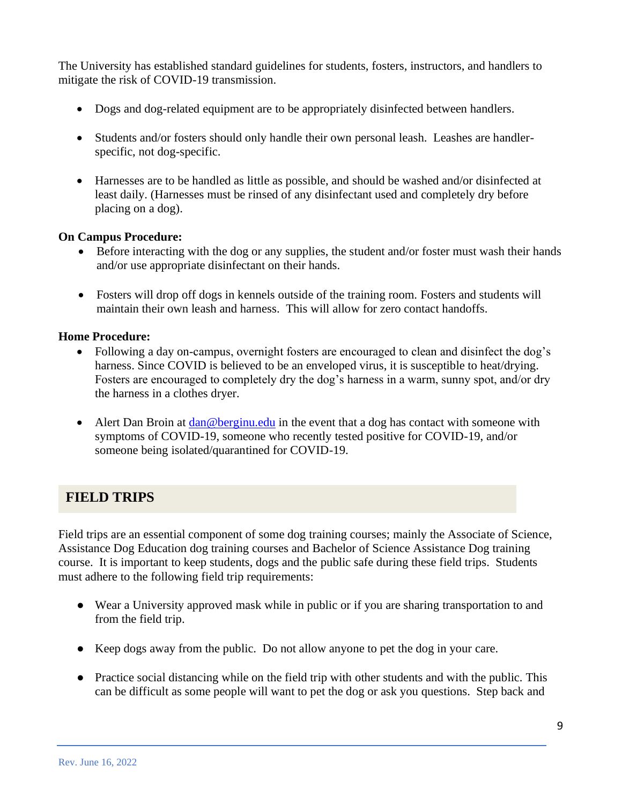The University has established standard guidelines for students, fosters, instructors, and handlers to mitigate the risk of COVID-19 transmission.

- Dogs and dog-related equipment are to be appropriately disinfected between handlers.
- Students and/or fosters should only handle their own personal leash. Leashes are handlerspecific, not dog-specific.
- Harnesses are to be handled as little as possible, and should be washed and/or disinfected at least daily. (Harnesses must be rinsed of any disinfectant used and completely dry before placing on a dog).

#### **On Campus Procedure:**

- Before interacting with the dog or any supplies, the student and/or foster must wash their hands and/or use appropriate disinfectant on their hands.
- Fosters will drop off dogs in kennels outside of the training room. Fosters and students will maintain their own leash and harness. This will allow for zero contact handoffs.

#### **Home Procedure:**

- Following a day on-campus, overnight fosters are encouraged to clean and disinfect the dog's harness. Since COVID is believed to be an enveloped virus, it is susceptible to heat/drying. Fosters are encouraged to completely dry the dog's harness in a warm, sunny spot, and/or dry the harness in a clothes dryer.
- Alert Dan Broin at [dan@berginu.edu](mailto:dan@berginu.edu) in the event that a dog has contact with someone with symptoms of COVID-19, someone who recently tested positive for COVID-19, and/or someone being isolated/quarantined for COVID-19.

### **FIELD TRIPS**

Field trips are an essential component of some dog training courses; mainly the Associate of Science, Assistance Dog Education dog training courses and Bachelor of Science Assistance Dog training course. It is important to keep students, dogs and the public safe during these field trips. Students must adhere to the following field trip requirements:

- Wear a University approved mask while in public or if you are sharing transportation to and from the field trip.
- Keep dogs away from the public. Do not allow anyone to pet the dog in your care.
- Practice social distancing while on the field trip with other students and with the public. This can be difficult as some people will want to pet the dog or ask you questions. Step back and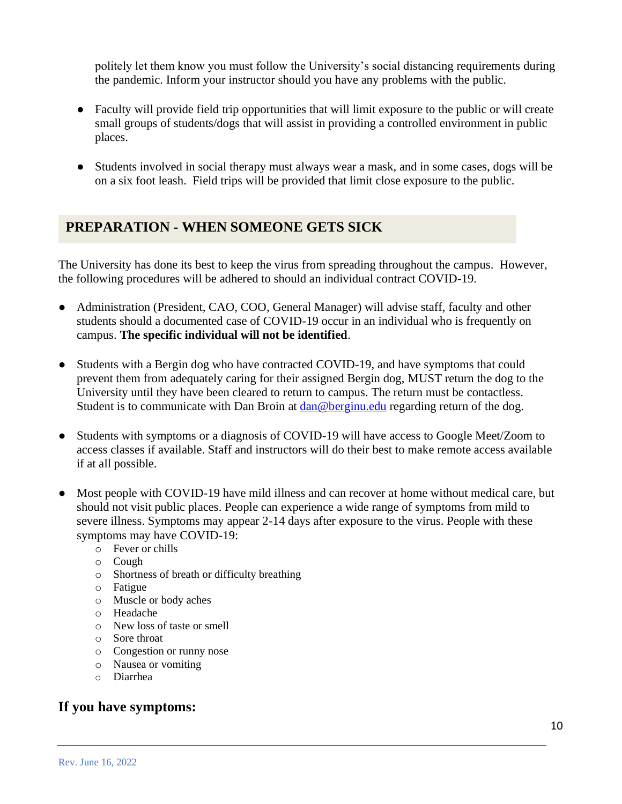politely let them know you must follow the University's social distancing requirements during the pandemic. Inform your instructor should you have any problems with the public.

- Faculty will provide field trip opportunities that will limit exposure to the public or will create small groups of students/dogs that will assist in providing a controlled environment in public places.
- Students involved in social therapy must always wear a mask, and in some cases, dogs will be on a six foot leash. Field trips will be provided that limit close exposure to the public.

# **PREPARATION - WHEN SOMEONE GETS SICK**

The University has done its best to keep the virus from spreading throughout the campus. However, the following procedures will be adhered to should an individual contract COVID-19.

- Administration (President, CAO, COO, General Manager) will advise staff, faculty and other students should a documented case of COVID-19 occur in an individual who is frequently on campus. **The specific individual will not be identified**.
- Students with a Bergin dog who have contracted COVID-19, and have symptoms that could prevent them from adequately caring for their assigned Bergin dog, MUST return the dog to the University until they have been cleared to return to campus. The return must be contactless. Student is to communicate with Dan Broin at [dan@berginu.edu](mailto:dan@berginu.edu) regarding return of the dog.
- Students with symptoms or a diagnosis of COVID-19 will have access to Google Meet/Zoom to access classes if available. Staff and instructors will do their best to make remote access available if at all possible.
- Most people with COVID-19 have mild illness and can recover at home without medical care, but should not visit public places. People can experience a wide range of symptoms from mild to severe illness. Symptoms may appear 2-14 days after exposure to the virus. People with these symptoms may have COVID-19:
	- o Fever or chills
	- o Cough
	- o Shortness of breath or difficulty breathing
	- o Fatigue
	- o Muscle or body aches
	- o Headache
	- o New loss of taste or smell
	- o Sore throat
	- o Congestion or runny nose
	- o Nausea or vomiting
	- o Diarrhea

### **If you have symptoms:**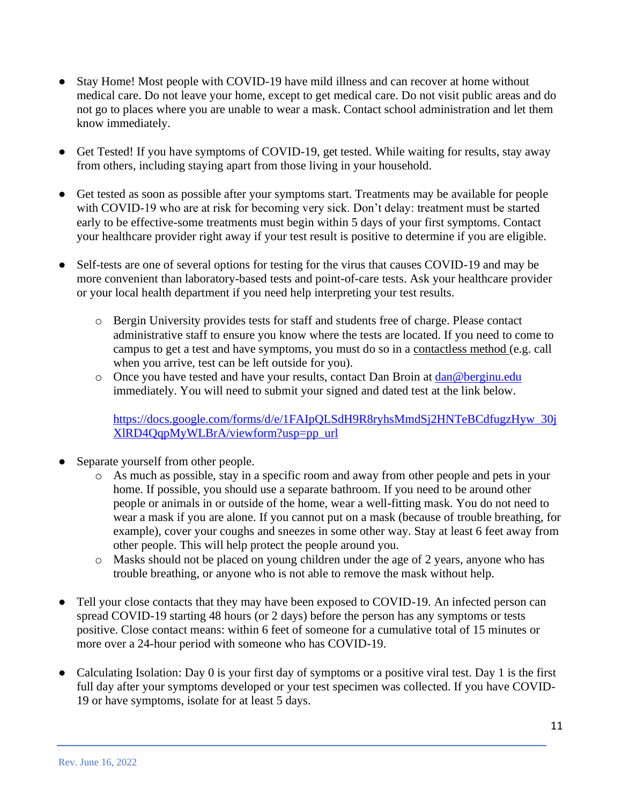- Stay Home! Most people with COVID-19 have mild illness and can recover at home without medical care. Do not leave your home, except to get medical care. Do not visit public areas and do not go to places where you are unable to wear a mask. Contact school administration and let them know immediately.
- Get Tested! If you have symptoms of COVID-19, get tested. While waiting for results, stay away from others, including staying apart from those living in your household.
- Get tested as soon as possible after your symptoms start. Treatments may be available for people with COVID-19 who are at risk for becoming very sick. Don't delay: treatment must be started early to be effective-some treatments must begin within 5 days of your first symptoms. Contact your healthcare provider right away if your test result is positive to determine if you are eligible.
- Self-tests are one of several options for testing for the virus that causes COVID-19 and may be more convenient than laboratory-based tests and point-of-care tests. Ask your healthcare provider or your local health department if you need help interpreting your test results.
	- o Bergin University provides tests for staff and students free of charge. Please contact administrative staff to ensure you know where the tests are located. If you need to come to campus to get a test and have symptoms, you must do so in a contactless method (e.g. call when you arrive, test can be left outside for you).
	- o Once you have tested and have your results, contact Dan Broin at [dan@berginu.edu](mailto:dan@berginu.edu) immediately. You will need to submit your signed and dated test at the link below.

[https://docs.google.com/forms/d/e/1FAIpQLSdH9R8ryhsMmdSj2HNTeBCdfugzHyw\\_30j](https://docs.google.com/forms/d/e/1FAIpQLSdH9R8ryhsMmdSj2HNTeBCdfugzHyw_30jXlRD4QqpMyWLBrA/viewform?usp=pp_url) [XlRD4QqpMyWLBrA/viewform?usp=pp\\_url](https://docs.google.com/forms/d/e/1FAIpQLSdH9R8ryhsMmdSj2HNTeBCdfugzHyw_30jXlRD4QqpMyWLBrA/viewform?usp=pp_url)

- Separate yourself from other people.
	- o As much as possible, stay in a specific room and away from other people and pets in your home. If possible, you should use a separate bathroom. If you need to be around other people or animals in or outside of the home, wear a well-fitting mask. You do not need to wear a mask if you are alone. If you cannot put on a mask (because of trouble breathing, for example), cover your coughs and sneezes in some other way. Stay at least 6 feet away from other people. This will help protect the people around you.
	- o Masks should not be placed on young children under the age of 2 years, anyone who has trouble breathing, or anyone who is not able to remove the mask without help.
- Tell your close contacts that they may have been exposed to COVID-19. An infected person can spread COVID-19 starting 48 hours (or 2 days) before the person has any symptoms or tests positive. Close contact means: within 6 feet of someone for a cumulative total of 15 minutes or more over a 24-hour period with someone who has COVID-19.
- Calculating Isolation: Day 0 is your first day of symptoms or a positive viral test. Day 1 is the first full day after your symptoms developed or your test specimen was collected. If you have COVID-19 or have symptoms, isolate for at least 5 days.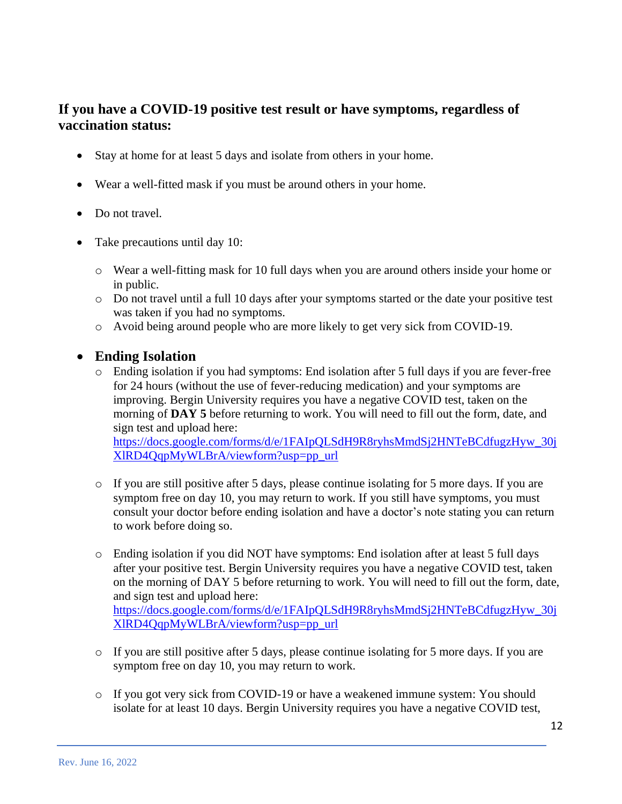# **If you have a COVID-19 positive test result or have symptoms, regardless of vaccination status:**

- Stay at home for at least 5 days and isolate from others in your home.
- Wear a well-fitted mask if you must be around others in your home.
- Do not travel.
- Take precautions until day 10:
	- o Wear a well-fitting mask for 10 full days when you are around others inside your home or in public.
	- o Do not travel until a full 10 days after your symptoms started or the date your positive test was taken if you had no symptoms.
	- o Avoid being around people who are more likely to get very sick from COVID-19.

### • **Ending Isolation**

 $\circ$  Ending isolation if you had symptoms: End isolation after 5 full days if you are fever-free for 24 hours (without the use of fever-reducing medication) and your symptoms are improving. Bergin University requires you have a negative COVID test, taken on the morning of **DAY 5** before returning to work. You will need to fill out the form, date, and sign test and upload here:

[https://docs.google.com/forms/d/e/1FAIpQLSdH9R8ryhsMmdSj2HNTeBCdfugzHyw\\_30j](https://docs.google.com/forms/d/e/1FAIpQLSdH9R8ryhsMmdSj2HNTeBCdfugzHyw_30jXlRD4QqpMyWLBrA/viewform?usp=pp_url) [XlRD4QqpMyWLBrA/viewform?usp=pp\\_url](https://docs.google.com/forms/d/e/1FAIpQLSdH9R8ryhsMmdSj2HNTeBCdfugzHyw_30jXlRD4QqpMyWLBrA/viewform?usp=pp_url)

- o If you are still positive after 5 days, please continue isolating for 5 more days. If you are symptom free on day 10, you may return to work. If you still have symptoms, you must consult your doctor before ending isolation and have a doctor's note stating you can return to work before doing so.
- o Ending isolation if you did NOT have symptoms: End isolation after at least 5 full days after your positive test. Bergin University requires you have a negative COVID test, taken on the morning of DAY 5 before returning to work. You will need to fill out the form, date, and sign test and upload here: [https://docs.google.com/forms/d/e/1FAIpQLSdH9R8ryhsMmdSj2HNTeBCdfugzHyw\\_30j](https://docs.google.com/forms/d/e/1FAIpQLSdH9R8ryhsMmdSj2HNTeBCdfugzHyw_30jXlRD4QqpMyWLBrA/viewform?usp=pp_url) [XlRD4QqpMyWLBrA/viewform?usp=pp\\_url](https://docs.google.com/forms/d/e/1FAIpQLSdH9R8ryhsMmdSj2HNTeBCdfugzHyw_30jXlRD4QqpMyWLBrA/viewform?usp=pp_url)
- o If you are still positive after 5 days, please continue isolating for 5 more days. If you are symptom free on day 10, you may return to work.
- o If you got very sick from COVID-19 or have a weakened immune system: You should isolate for at least 10 days. Bergin University requires you have a negative COVID test,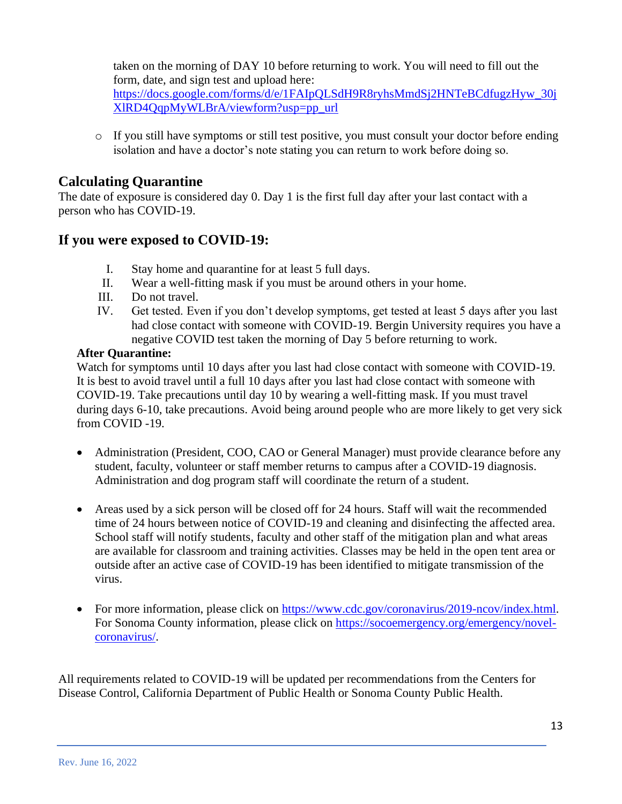taken on the morning of DAY 10 before returning to work. You will need to fill out the form, date, and sign test and upload here:

[https://docs.google.com/forms/d/e/1FAIpQLSdH9R8ryhsMmdSj2HNTeBCdfugzHyw\\_30j](https://docs.google.com/forms/d/e/1FAIpQLSdH9R8ryhsMmdSj2HNTeBCdfugzHyw_30jXlRD4QqpMyWLBrA/viewform?usp=pp_url) [XlRD4QqpMyWLBrA/viewform?usp=pp\\_url](https://docs.google.com/forms/d/e/1FAIpQLSdH9R8ryhsMmdSj2HNTeBCdfugzHyw_30jXlRD4QqpMyWLBrA/viewform?usp=pp_url)

 $\circ$  If you still have symptoms or still test positive, you must consult your doctor before ending isolation and have a doctor's note stating you can return to work before doing so.

# **Calculating Quarantine**

The date of exposure is considered day 0. Day 1 is the first full day after your last contact with a person who has COVID-19.

### **If you were exposed to COVID-19:**

- I. Stay home and quarantine for at least 5 full days.
- II. Wear a well-fitting mask if you must be around others in your home.
- III. Do not travel.
- IV. Get tested. Even if you don't develop symptoms, get tested at least 5 days after you last had close contact with someone with COVID-19. Bergin University requires you have a negative COVID test taken the morning of Day 5 before returning to work.

### **After Quarantine:**

Watch for symptoms until 10 days after you last had close contact with someone with COVID-19. It is best to avoid travel until a full 10 days after you last had close contact with someone with COVID-19. Take precautions until day 10 by wearing a well-fitting mask. If you must travel during days 6-10, take precautions. Avoid being around people who are more likely to get very sick from COVID -19.

- Administration (President, COO, CAO or General Manager) must provide clearance before any student, faculty, volunteer or staff member returns to campus after a COVID-19 diagnosis. Administration and dog program staff will coordinate the return of a student.
- Areas used by a sick person will be closed off for 24 hours. Staff will wait the recommended time of 24 hours between notice of COVID-19 and cleaning and disinfecting the affected area. School staff will notify students, faculty and other staff of the mitigation plan and what areas are available for classroom and training activities. Classes may be held in the open tent area or outside after an active case of COVID-19 has been identified to mitigate transmission of the virus.
- For more information, please click on [https://www.cdc.gov/coronavirus/2019-ncov/index.html.](https://www.cdc.gov/coronavirus/2019-ncov/index.html) For Sonoma County information, please click on [https://socoemergency.org/emergency/novel](https://socoemergency.org/emergency/novel-coronavirus/)[coronavirus/.](https://socoemergency.org/emergency/novel-coronavirus/)

All requirements related to COVID-19 will be updated per recommendations from the Centers for Disease Control, California Department of Public Health or Sonoma County Public Health.